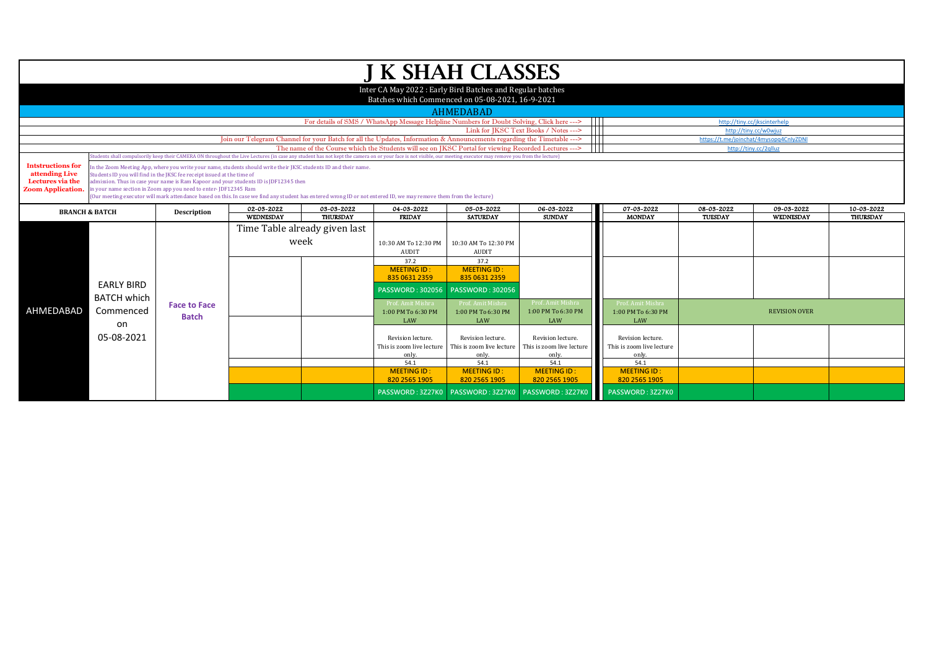|                                                                                            |                                                                                                                                                                                                                                                                                                                                                                                                                                                                                                                               |                                     |                                                                                                                                                                                                                |                                                                 |                                                         | J K SHAH CLASSES                                                                                     |                                                         |                                                         |                              |                                |                               |
|--------------------------------------------------------------------------------------------|-------------------------------------------------------------------------------------------------------------------------------------------------------------------------------------------------------------------------------------------------------------------------------------------------------------------------------------------------------------------------------------------------------------------------------------------------------------------------------------------------------------------------------|-------------------------------------|----------------------------------------------------------------------------------------------------------------------------------------------------------------------------------------------------------------|-----------------------------------------------------------------|---------------------------------------------------------|------------------------------------------------------------------------------------------------------|---------------------------------------------------------|---------------------------------------------------------|------------------------------|--------------------------------|-------------------------------|
|                                                                                            |                                                                                                                                                                                                                                                                                                                                                                                                                                                                                                                               |                                     |                                                                                                                                                                                                                |                                                                 |                                                         | Inter CA May 2022: Early Bird Batches and Regular batches                                            |                                                         |                                                         |                              |                                |                               |
|                                                                                            |                                                                                                                                                                                                                                                                                                                                                                                                                                                                                                                               |                                     |                                                                                                                                                                                                                |                                                                 |                                                         | Batches which Commenced on 05-08-2021, 16-9-2021                                                     |                                                         |                                                         |                              |                                |                               |
|                                                                                            |                                                                                                                                                                                                                                                                                                                                                                                                                                                                                                                               |                                     |                                                                                                                                                                                                                |                                                                 |                                                         | <b>AHMEDABAD</b>                                                                                     |                                                         |                                                         |                              |                                |                               |
|                                                                                            |                                                                                                                                                                                                                                                                                                                                                                                                                                                                                                                               |                                     |                                                                                                                                                                                                                |                                                                 |                                                         | For details of SMS / WhatsApp Message Helpline Numbers for Doubt Solving, Click here --->            | $\blacksquare$<br>Link for IKSC Text Books / Notes ---> |                                                         |                              | http://tiny.cc/jkscinterhelp   |                               |
|                                                                                            |                                                                                                                                                                                                                                                                                                                                                                                                                                                                                                                               |                                     | Join our Telegram Channel for your Batch for all the Updates, Information & Announcements regarding the Timetable -->                                                                                          | http://tiny.cc/w0wiuz<br>https://t.me/joinchat/4mysopq4CnlyZDNl |                                                         |                                                                                                      |                                                         |                                                         |                              |                                |                               |
|                                                                                            |                                                                                                                                                                                                                                                                                                                                                                                                                                                                                                                               |                                     |                                                                                                                                                                                                                |                                                                 |                                                         | The name of the Course which the Students will see on JKSC Portal for viewing Recorded Lectures ---> |                                                         |                                                         |                              | http://tiny.cc/2qlluz          |                               |
|                                                                                            |                                                                                                                                                                                                                                                                                                                                                                                                                                                                                                                               |                                     | udents shall compulsorily keep their CAMERA ON throughout the Live Lectures (in case any student has not kept the camera on or your face is not visible, our meeting executor may remove you from the lecture) |                                                                 |                                                         |                                                                                                      |                                                         |                                                         |                              |                                |                               |
| <b>Intstructions for</b><br>attending Live<br>Lectures via the<br><b>Zoom Application.</b> | In the Zoom Meeting App, where you write your name, students should write their JKSC students ID and their name.<br>Students ID you will find in the JKSC fee receipt issued at the time of<br>admission. Thus in case your name is Ram Kapoor and your students ID is JDF12345 then<br>in your name section in Zoom app you need to enter-JDF12345 Ram<br>(Our meeting executor will mark attendance based on this. In case we find any student has entered wrong ID or not entered ID, we may remove them from the lecture) |                                     |                                                                                                                                                                                                                |                                                                 |                                                         |                                                                                                      |                                                         |                                                         |                              |                                |                               |
| <b>BRANCH &amp; BATCH</b>                                                                  |                                                                                                                                                                                                                                                                                                                                                                                                                                                                                                                               | Description                         | 02-03-2022<br><b>WEDNESDAY</b>                                                                                                                                                                                 | 03-03-2022<br><b>THURSDAY</b>                                   | 04-03-2022<br><b>FRIDAY</b>                             | 05-03-2022<br><b>SATURDAY</b>                                                                        | 06-03-2022<br><b>SUNDAY</b>                             | 07-03-2022<br><b>MONDAY</b>                             | 08-03-2022<br><b>TUESDAY</b> | 09-03-2022<br><b>WEDNESDAY</b> | 10-03-2022<br><b>THURSDAY</b> |
|                                                                                            |                                                                                                                                                                                                                                                                                                                                                                                                                                                                                                                               |                                     |                                                                                                                                                                                                                |                                                                 |                                                         |                                                                                                      |                                                         |                                                         |                              |                                |                               |
|                                                                                            |                                                                                                                                                                                                                                                                                                                                                                                                                                                                                                                               |                                     | week                                                                                                                                                                                                           | Time Table already given last                                   | 10:30 AM To 12:30 PM<br>AUDIT                           | 10:30 AM To 12:30 PM<br><b>AUDIT</b>                                                                 |                                                         |                                                         |                              |                                |                               |
|                                                                                            | <b>EARLY BIRD</b>                                                                                                                                                                                                                                                                                                                                                                                                                                                                                                             |                                     |                                                                                                                                                                                                                |                                                                 | 37.2<br><b>MEETING ID:</b><br>835 0631 2359             | 37.2<br><b>MEETING ID:</b><br>835 0631 2359                                                          |                                                         |                                                         |                              |                                |                               |
|                                                                                            | <b>BATCH which</b>                                                                                                                                                                                                                                                                                                                                                                                                                                                                                                            |                                     |                                                                                                                                                                                                                |                                                                 | <b>PASSWORD: 302056</b>                                 | <b>PASSWORD: 302056</b>                                                                              |                                                         |                                                         |                              |                                |                               |
| AHMEDABAD                                                                                  | Commenced<br>on<br>05-08-2021                                                                                                                                                                                                                                                                                                                                                                                                                                                                                                 | <b>Face to Face</b><br><b>Batch</b> |                                                                                                                                                                                                                |                                                                 | Prof. Amit Mishra<br>1:00 PM To 6:30 PM<br>LAW          | Prof. Amit Mishra<br>1:00 PM To 6:30 PM<br>LAW                                                       | Prof. Amit Mishra<br>1:00 PM To 6:30 PM<br>LAW          | Prof. Amit Mishra<br>1:00 PM To 6:30 PM<br>LAW          |                              | <b>REVISION OVER</b>           |                               |
|                                                                                            |                                                                                                                                                                                                                                                                                                                                                                                                                                                                                                                               |                                     |                                                                                                                                                                                                                |                                                                 | Revision lecture.<br>This is zoom live lecture<br>only. | Revision lecture.<br>This is zoom live lecture<br>only.                                              | Revision lecture.<br>This is zoom live lecture<br>only. | Revision lecture.<br>This is zoom live lecture<br>only. |                              |                                |                               |
|                                                                                            |                                                                                                                                                                                                                                                                                                                                                                                                                                                                                                                               |                                     |                                                                                                                                                                                                                |                                                                 | 54.1<br><b>MEETING ID:</b><br>820 2565 1905             | 54.1<br><b>MEETING ID:</b><br>820 2565 1905                                                          | 54.1<br><b>MEETING ID:</b><br>820 2565 1905             | 54.1<br><b>MEETING ID:</b><br>820 2565 1905             |                              |                                |                               |
|                                                                                            |                                                                                                                                                                                                                                                                                                                                                                                                                                                                                                                               |                                     |                                                                                                                                                                                                                |                                                                 |                                                         | PASSWORD: 3Z27K0 PASSWORD: 3Z27K0                                                                    | PASSWORD: 3Z27K0                                        | PASSWORD: 3Z27K0                                        |                              |                                |                               |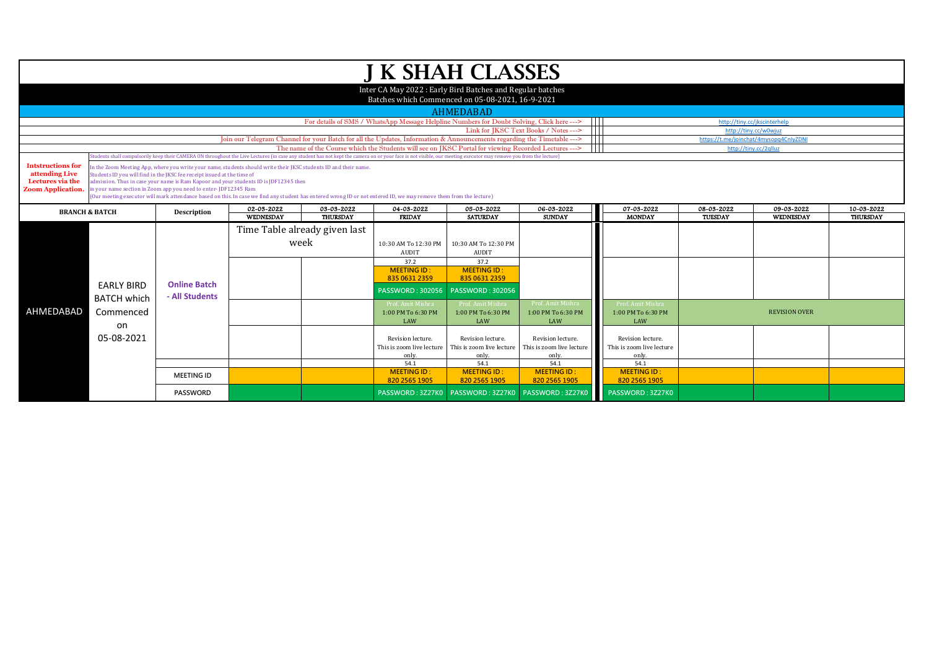|                                                                                            |                                                                                                                                                                                                                                                                                                                                                                                                                                                                                                                               |                                       |                         |                                                                                                                                                                                                                 | <b>J K SHAH CLASSES</b>                                                                   |                                                                        |                                                                         |                                                                 |                              |                                                       |                               |
|--------------------------------------------------------------------------------------------|-------------------------------------------------------------------------------------------------------------------------------------------------------------------------------------------------------------------------------------------------------------------------------------------------------------------------------------------------------------------------------------------------------------------------------------------------------------------------------------------------------------------------------|---------------------------------------|-------------------------|-----------------------------------------------------------------------------------------------------------------------------------------------------------------------------------------------------------------|-------------------------------------------------------------------------------------------|------------------------------------------------------------------------|-------------------------------------------------------------------------|-----------------------------------------------------------------|------------------------------|-------------------------------------------------------|-------------------------------|
|                                                                                            |                                                                                                                                                                                                                                                                                                                                                                                                                                                                                                                               |                                       |                         |                                                                                                                                                                                                                 | Inter CA May 2022: Early Bird Batches and Regular batches                                 |                                                                        |                                                                         |                                                                 |                              |                                                       |                               |
|                                                                                            |                                                                                                                                                                                                                                                                                                                                                                                                                                                                                                                               |                                       |                         |                                                                                                                                                                                                                 | Batches which Commenced on 05-08-2021, 16-9-2021                                          |                                                                        |                                                                         |                                                                 |                              |                                                       |                               |
|                                                                                            |                                                                                                                                                                                                                                                                                                                                                                                                                                                                                                                               |                                       |                         |                                                                                                                                                                                                                 |                                                                                           | <b>AHMEDABAD</b>                                                       |                                                                         |                                                                 |                              |                                                       |                               |
|                                                                                            |                                                                                                                                                                                                                                                                                                                                                                                                                                                                                                                               |                                       |                         |                                                                                                                                                                                                                 | For details of SMS / WhatsApp Message Helpline Numbers for Doubt Solving, Click here ---> |                                                                        | $\blacksquare$<br>$\mathbf{1}$<br>Link for JKSC Text Books / Notes ---> |                                                                 |                              | http://tiny.cc/jkscinterhelp<br>http://tiny.cc/w0wjuz |                               |
|                                                                                            |                                                                                                                                                                                                                                                                                                                                                                                                                                                                                                                               |                                       |                         | Join our Telegram Channel for your Batch for all the Updates, Information & Announcements regarding the Timetable --->                                                                                          |                                                                                           |                                                                        |                                                                         | $\mathbf{1} \mathbf{1}$                                         |                              | https://t.me/joinchat/4mysopq4CnlyZDNI                |                               |
|                                                                                            |                                                                                                                                                                                                                                                                                                                                                                                                                                                                                                                               |                                       |                         | The name of the Course which the Students will see on JKSC Portal for viewing Recorded Lectures --->                                                                                                            |                                                                                           |                                                                        |                                                                         |                                                                 |                              | http://tiny.cc/2qlluz                                 |                               |
|                                                                                            |                                                                                                                                                                                                                                                                                                                                                                                                                                                                                                                               |                                       |                         | tudents shall compulsorily keep their CAMERA ON throughout the Live Lectures (in case any student has not kept the camera on or your face is not visible, our meeting executor may remove you from the lecture) |                                                                                           |                                                                        |                                                                         |                                                                 |                              |                                                       |                               |
| <b>Intstructions for</b><br>attending Live<br>Lectures via the<br><b>Zoom Application.</b> | In the Zoom Meeting App, where you write your name, students should write their JKSC students ID and their name.<br>Students ID you will find in the JKSC fee receipt issued at the time of<br>admission. Thus in case your name is Ram Kapoor and your students ID is JDF12345 then<br>in your name section in Zoom app you need to enter-JDF12345 Ram<br>(Our meeting executor will mark attendance based on this. In case we find any student has entered wrong ID or not entered ID, we may remove them from the lecture) |                                       |                         |                                                                                                                                                                                                                 |                                                                                           |                                                                        |                                                                         |                                                                 |                              |                                                       |                               |
|                                                                                            | <b>BRANCH &amp; BATCH</b>                                                                                                                                                                                                                                                                                                                                                                                                                                                                                                     |                                       | 02-03-2022<br>WEDNESDAY | 03-03-2022<br><b>THURSDAY</b>                                                                                                                                                                                   | 04-03-2022<br><b>FRIDAY</b>                                                               | 05-03-2022<br><b>SATURDAY</b>                                          | 06-03-2022<br><b>SUNDAY</b>                                             | 07-03-2022<br><b>MONDAY</b>                                     | 08-03-2022<br><b>TUESDAY</b> | 09-03-2022<br><b>WEDNESDAY</b>                        | 10-03-2022<br><b>THURSDAY</b> |
|                                                                                            | <b>EARLY BIRD</b><br><b>BATCH which</b><br>Commenced<br>on<br>05-08-2021                                                                                                                                                                                                                                                                                                                                                                                                                                                      | <b>Online Batch</b><br>- All Students |                         | Time Table already given last<br>week                                                                                                                                                                           | 10:30 AM To 12:30 PM<br><b>AUDIT</b>                                                      | 10:30 AM To 12:30 PM<br>AUDIT                                          |                                                                         |                                                                 |                              |                                                       |                               |
| AHMEDABAD                                                                                  |                                                                                                                                                                                                                                                                                                                                                                                                                                                                                                                               |                                       |                         |                                                                                                                                                                                                                 | 37.2<br><b>MEETING ID:</b><br>835 0631 2359<br><b>PASSWORD: 302056</b>                    | 37.2<br><b>MEETING ID:</b><br>835 0631 2359<br><b>PASSWORD: 302056</b> |                                                                         |                                                                 |                              |                                                       |                               |
|                                                                                            |                                                                                                                                                                                                                                                                                                                                                                                                                                                                                                                               |                                       |                         |                                                                                                                                                                                                                 | Prof. Amit Mishra<br>1:00 PM To 6:30 PM<br>LAW                                            | Prof. Amit Mishra<br>1:00 PM To 6:30 PM<br>LAW                         | Prof. Amit Mishra<br>1:00 PM To 6:30 PM<br>LAW                          | Prof. Amit Mishra<br>1:00 PM To 6:30 PM<br>LAW                  |                              | <b>REVISION OVER</b>                                  |                               |
|                                                                                            |                                                                                                                                                                                                                                                                                                                                                                                                                                                                                                                               |                                       |                         |                                                                                                                                                                                                                 | Revision lecture.<br>This is zoom live lecture<br>only.<br>54.1                           | Revision lecture.<br>This is zoom live lecture<br>only.<br>54.1        | Revision lecture.<br>This is zoom live lecture<br>only.<br>54.1         | Revision lecture.<br>This is zoom live lecture<br>only.<br>54.1 |                              |                                                       |                               |
|                                                                                            |                                                                                                                                                                                                                                                                                                                                                                                                                                                                                                                               | <b>MEETING ID</b>                     |                         |                                                                                                                                                                                                                 | <b>MEETING ID:</b><br>820 2565 1905                                                       | <b>MEETING ID:</b><br>820 2565 1905                                    | <b>MEETING ID:</b><br>820 2565 1905                                     | <b>MEETING ID:</b><br>820 2565 1905                             |                              |                                                       |                               |
|                                                                                            |                                                                                                                                                                                                                                                                                                                                                                                                                                                                                                                               | <b>PASSWORD</b>                       |                         |                                                                                                                                                                                                                 |                                                                                           | PASSWORD: 3Z27K0 PASSWORD: 3Z27K0 PASSWORD: 3Z27K0                     |                                                                         | PASSWORD: 3Z27K0                                                |                              |                                                       |                               |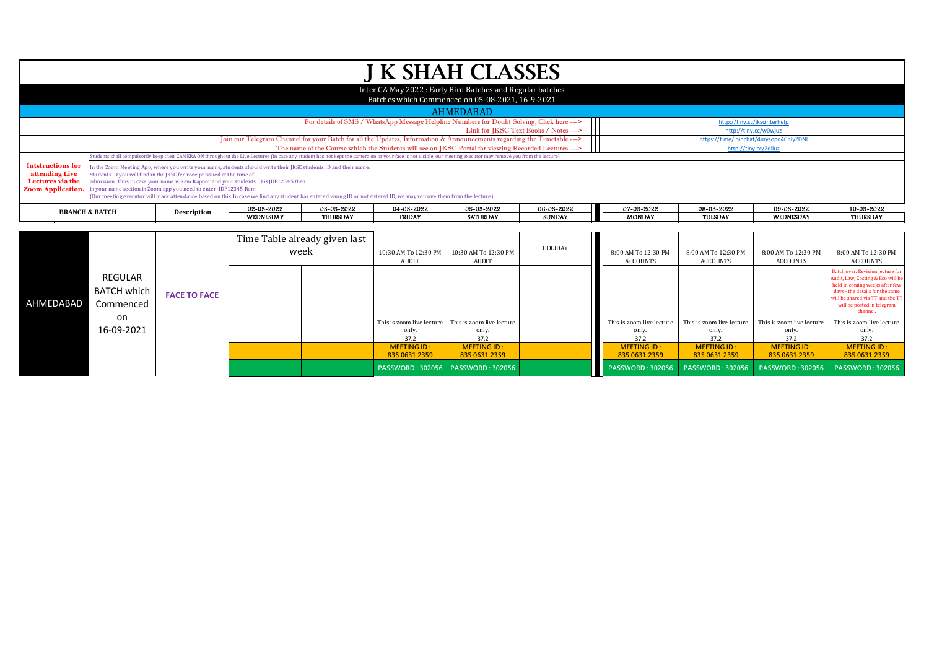|                                                                                                   |                                                         |                                                                                                                                                                                                                                                                                                                                                      |                  |                                                                                                                                                                    |                                                     | <b>J K SHAH CLASSES</b>                                                                                                                                                                                                                                                                                                 |                                       |                                        |                                        |                                                     |                                                                                                                                                                                                                          |
|---------------------------------------------------------------------------------------------------|---------------------------------------------------------|------------------------------------------------------------------------------------------------------------------------------------------------------------------------------------------------------------------------------------------------------------------------------------------------------------------------------------------------------|------------------|--------------------------------------------------------------------------------------------------------------------------------------------------------------------|-----------------------------------------------------|-------------------------------------------------------------------------------------------------------------------------------------------------------------------------------------------------------------------------------------------------------------------------------------------------------------------------|---------------------------------------|----------------------------------------|----------------------------------------|-----------------------------------------------------|--------------------------------------------------------------------------------------------------------------------------------------------------------------------------------------------------------------------------|
|                                                                                                   |                                                         |                                                                                                                                                                                                                                                                                                                                                      |                  |                                                                                                                                                                    |                                                     | Inter CA May 2022: Early Bird Batches and Regular batches<br>Batches which Commenced on 05-08-2021, 16-9-2021                                                                                                                                                                                                           |                                       |                                        |                                        |                                                     |                                                                                                                                                                                                                          |
|                                                                                                   |                                                         |                                                                                                                                                                                                                                                                                                                                                      |                  |                                                                                                                                                                    |                                                     | <b>AHMEDABAD</b>                                                                                                                                                                                                                                                                                                        |                                       |                                        |                                        |                                                     |                                                                                                                                                                                                                          |
|                                                                                                   |                                                         |                                                                                                                                                                                                                                                                                                                                                      |                  |                                                                                                                                                                    |                                                     | For details of SMS / WhatsApp Message Helpline Numbers for Doubt Solving, Click here --->                                                                                                                                                                                                                               | $\mathbf{H}$                          |                                        |                                        | http://tiny.cc/jkscinterhelp                        |                                                                                                                                                                                                                          |
|                                                                                                   |                                                         |                                                                                                                                                                                                                                                                                                                                                      |                  |                                                                                                                                                                    |                                                     |                                                                                                                                                                                                                                                                                                                         | Link for IKSC Text Books / Notes ---> |                                        |                                        | http://tiny.cc/w0wjuz                               |                                                                                                                                                                                                                          |
|                                                                                                   |                                                         |                                                                                                                                                                                                                                                                                                                                                      |                  |                                                                                                                                                                    |                                                     | Join our Telegram Channel for your Batch for all the Updates, Information & Announcements regarding the Timetable -->                                                                                                                                                                                                   |                                       |                                        |                                        | https://t.me/joinchat/4mysopq4CnlyZDNI              |                                                                                                                                                                                                                          |
|                                                                                                   |                                                         |                                                                                                                                                                                                                                                                                                                                                      |                  |                                                                                                                                                                    |                                                     | The name of the Course which the Students will see on JKSC Portal for viewing Recorded Lectures ---><br>tudents shall compulsorily keep their CAMERA ON throughout the Live Lectures (in case any student has not kept the camera on or your face is not visible, our meeting executor may remove you from the lecture) |                                       |                                        |                                        | http://tiny.cc/2qlluz                               |                                                                                                                                                                                                                          |
| <b>Intstructions for</b><br>attending Live<br><b>Lectures via the</b><br><b>Zoom Application.</b> |                                                         | n the Zoom Meeting App, where you write your name, students should write their JKSC students ID and their name.<br>Students ID you will find in the JKSC fee receipt issued at the time of<br>dmission. Thus in case your name is Ram Kapoor and your students ID is JDF12345 then<br>n your name section in Zoom app you need to enter-JDF12345 Ram |                  | (Our meeting executor will mark attendance based on this. In case we find any student has entered wrong ID or not entered ID, we may remove them from the lecture) |                                                     |                                                                                                                                                                                                                                                                                                                         |                                       |                                        |                                        |                                                     |                                                                                                                                                                                                                          |
|                                                                                                   | <b>BRANCH &amp; BATCH</b>                               |                                                                                                                                                                                                                                                                                                                                                      | 02-03-2022       | 03-03-2022                                                                                                                                                         | 04-03-2022                                          | 05-03-2022                                                                                                                                                                                                                                                                                                              | 06-03-2022                            | 07-03-2022                             | 08-03-2022                             | 09-03-2022                                          | 10-03-2022                                                                                                                                                                                                               |
|                                                                                                   |                                                         | Description                                                                                                                                                                                                                                                                                                                                          | <b>WEDNESDAY</b> | <b>THURSDAY</b>                                                                                                                                                    | <b>FRIDAY</b>                                       | <b>SATURDAY</b>                                                                                                                                                                                                                                                                                                         | <b>SUNDAY</b>                         | <b>MONDAY</b>                          | TUESDAY                                | <b>WEDNESDAY</b>                                    | <b>THURSDAY</b>                                                                                                                                                                                                          |
|                                                                                                   |                                                         |                                                                                                                                                                                                                                                                                                                                                      |                  | Time Table already given last<br>week                                                                                                                              | 10:30 AM To 12:30 PM<br><b>AUDIT</b>                | 10:30 AM To 12:30 PM<br>AUDIT                                                                                                                                                                                                                                                                                           | HOLIDAY                               | 8:00 AM To 12:30 PM<br><b>ACCOUNTS</b> | 8:00 AM To 12:30 PM<br><b>ACCOUNTS</b> | 8:00 AM To 12:30 PM<br><b>ACCOUNTS</b>              | 8:00 AM To 12:30 PM<br><b>ACCOUNTS</b>                                                                                                                                                                                   |
| AHMEDABAD                                                                                         | <b>REGULAR</b><br><b>BATCH which</b><br>Commenced<br>on | <b>FACE TO FACE</b>                                                                                                                                                                                                                                                                                                                                  |                  |                                                                                                                                                                    |                                                     |                                                                                                                                                                                                                                                                                                                         |                                       |                                        |                                        |                                                     | Batch over, Revision lecture for<br>Audit, Law, Costing & Eco will be<br>held in coming weeks after few<br>days - the details for the same<br>will be shared via TT and the TT<br>will be posted in telegram<br>channel. |
|                                                                                                   |                                                         |                                                                                                                                                                                                                                                                                                                                                      |                  |                                                                                                                                                                    | This is zoom live lecture This is zoom live lecture |                                                                                                                                                                                                                                                                                                                         |                                       | This is zoom live lecture              |                                        | This is zoom live lecture This is zoom live lecture | Thie is zoom live lecture                                                                                                                                                                                                |

This is zoom live lecture only.<br>37.2

**MEETING ID : 835 0631 2359**

This is zoom live lecture only.<br>37.2

37.2 | 37.2 | 37.2 | 37.2 | 37.2 | 37.2

**MEETING ID : 835 0631 2359**

**PASSWORD : 302056 PASSWORD : 302056 PASSWORD : 302056 PASSWORD : 302056 PASSWORD : 302056 PASSWORD : 302056**

This is zoom live lecture only.<br>37.2

**MEETING ID : 835 0631 2359**

This is zoom live lecture only.<br>37.2

**MEETING ID : 835 0631 2359**

This is zoom live lecture only.<br>37.2

**MEETING ID : 835 0631 2359**

This is zoom live lecture only.<br>37.2

**MEETING ID : 835 0631 2359**

on 16-09-2021